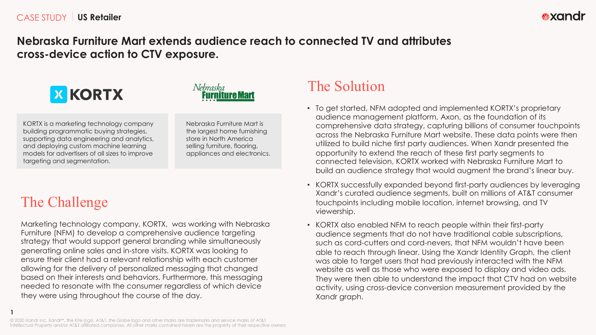## **Nebraska Furniture Mart extends audience reach to connected TV and attributes cross-device action to CTV exposure.**





KORTX is a marketing technology company building programmatic buying strategies, supporting data engineering and analytics, and deploying custom machine learning models for advertisers of all sizes to improve targeting and segmentation.

Nebraska Furniture Mart is the largest home furnishing store in North America selling furniture, flooring, appliances and electronics.

## The Challenge

**1**

Marketing technology company, KORTX, was working with Nebraska Furniture (NFM) to develop a comprehensive audience targeting strategy that would support general branding while simultaneously generating online sales and in-store visits. KORTX was looking to ensure their client had a relevant relationship with each customer allowing for the delivery of personalized messaging that changed based on their interests and behaviors. Furthermore, this messaging needed to resonate with the consumer regardless of which device they were using throughout the course of the day.

## The Solution

- To get started, NFM adopted and implemented KORTX's proprietary audience management platform, Axon, as the foundation of its comprehensive data strategy, capturing billions of consumer touchpoints across the Nebraska Furniture Mart website. These data points were then utilized to build niche first party audiences. When Xandr presented the opportunity to extend the reach of these first party segments to connected television, KORTX worked with Nebraska Furniture Mart to build an audience strategy that would augment the brand's linear buy.
- KORTX successfully expanded beyond first-party audiences by leveraging Xandr's curated audience segments, built on millions of AT&T consumer touchpoints including mobile location, internet browsing, and TV viewership.
- KORTX also enabled NFM to reach people within their first-party audience segments that do not have traditional cable subscriptions, such as cord-cutters and cord-nevers, that NFM wouldn't have been able to reach through linear. Using the Xandr Identity Graph, the client was able to target users that had previously interacted with the NFM website as well as those who were exposed to display and video ads. They were then able to understand the impact that CTV had on website activity, using cross-device conversion measurement provided by the Xandr graph.

<sup>© 2020</sup> Xandr Inc. Xandr<sup>sM</sup>, the Kite logo, AT&T, the Globe logo and other marks are trademarks and service marks of AT&T Intellectual Property and/or AT&T affiliated companies. All other marks contained herein are the property of their respective owners